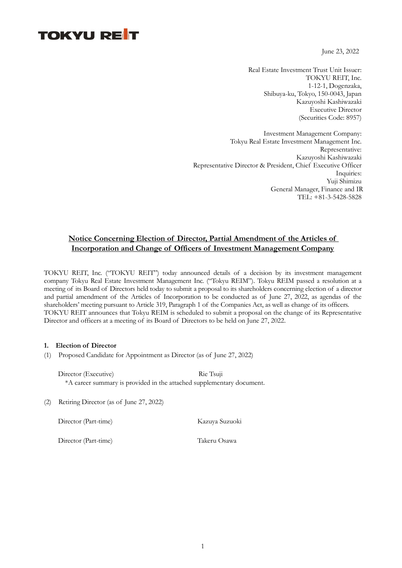# **TOKYU REIT**

June 23, 2022

Real Estate Investment Trust Unit Issuer: TOKYU REIT, Inc. 1-12-1, Dogenzaka, Shibuya-ku, Tokyo, 150-0043, Japan Kazuyoshi Kashiwazaki Executive Director (Securities Code: 8957)

Investment Management Company: Tokyu Real Estate Investment Management Inc. Representative: Kazuyoshi Kashiwazaki Representative Director & President, Chief Executive Officer Inquiries: Yuji Shimizu General Manager, Finance and IR TEL: +81-3-5428-5828

### Notice Concerning Election of Director, Partial Amendment of the Articles of Incorporation and Change of Officers of Investment Management Company

TOKYU REIT, Inc. ("TOKYU REIT") today announced details of a decision by its investment management company Tokyu Real Estate Investment Management Inc. ("Tokyu REIM"). Tokyu REIM passed a resolution at a meeting of its Board of Directors held today to submit a proposal to its shareholders concerning election of a director and partial amendment of the Articles of Incorporation to be conducted as of June 27, 2022, as agendas of the shareholders' meeting pursuant to Article 319, Paragraph 1 of the Companies Act, as well as change of its officers. TOKYU REIT announces that Tokyu REIM is scheduled to submit a proposal on the change of its Representative Director and officers at a meeting of its Board of Directors to be held on June 27, 2022.

#### 1. Election of Director

(1) Proposed Candidate for Appointment as Director (as of June 27, 2022)

Director (Executive) Rie Tsuji \*A career summary is provided in the attached supplementary document.

(2) Retiring Director (as of June 27, 2022)

Director (Part-time) Kazuya Suzuoki

Director (Part-time) Takeru Osawa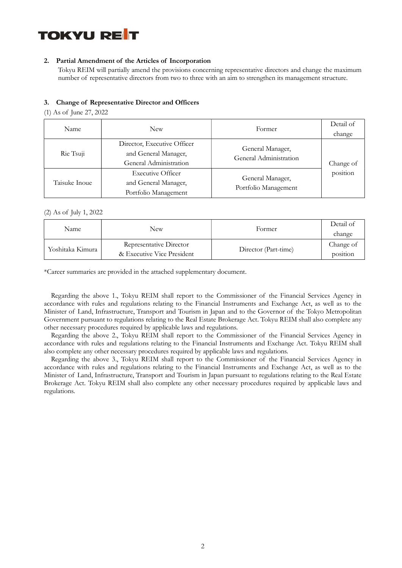

#### 2. Partial Amendment of the Articles of Incorporation

Tokyu REIM will partially amend the provisions concerning representative directors and change the maximum number of representative directors from two to three with an aim to strengthen its management structure.

#### 3. Change of Representative Director and Officers

(1) As of June 27, 2022

| Name          | New                                                                           | Former                                     | Detail of<br>change |
|---------------|-------------------------------------------------------------------------------|--------------------------------------------|---------------------|
| Rie Tsuji     | Director, Executive Officer<br>and General Manager,<br>General Administration | General Manager,<br>General Administration | Change of           |
| Taisuke Inoue | <b>Executive Officer</b><br>and General Manager,<br>Portfolio Management      | General Manager,<br>Portfolio Management   | position            |

#### (2) As of July 1, 2022

| Name             | New                                                   | Former               | Detail of<br>change   |
|------------------|-------------------------------------------------------|----------------------|-----------------------|
| Yoshitaka Kimura | Representative Director<br>& Executive Vice President | Director (Part-time) | Change of<br>position |

\*Career summaries are provided in the attached supplementary document.

Regarding the above 1., Tokyu REIM shall report to the Commissioner of the Financial Services Agency in accordance with rules and regulations relating to the Financial Instruments and Exchange Act, as well as to the Minister of Land, Infrastructure, Transport and Tourism in Japan and to the Governor of the Tokyo Metropolitan Government pursuant to regulations relating to the Real Estate Brokerage Act. Tokyu REIM shall also complete any other necessary procedures required by applicable laws and regulations.

Regarding the above 2., Tokyu REIM shall report to the Commissioner of the Financial Services Agency in accordance with rules and regulations relating to the Financial Instruments and Exchange Act. Tokyu REIM shall also complete any other necessary procedures required by applicable laws and regulations.

Regarding the above 3., Tokyu REIM shall report to the Commissioner of the Financial Services Agency in accordance with rules and regulations relating to the Financial Instruments and Exchange Act, as well as to the Minister of Land, Infrastructure, Transport and Tourism in Japan pursuant to regulations relating to the Real Estate Brokerage Act. Tokyu REIM shall also complete any other necessary procedures required by applicable laws and regulations.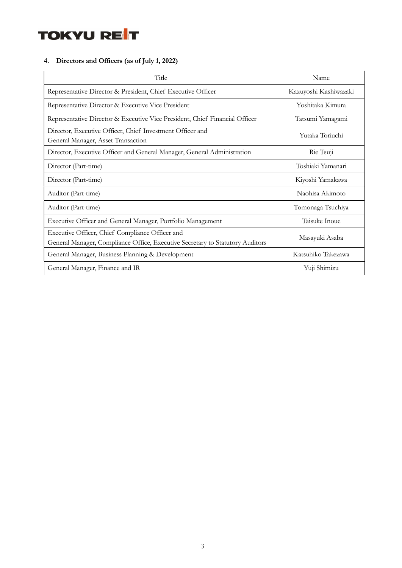

## 4. Directors and Officers (as of July 1, 2022)

| Title                                                                                                                            | Name                  |
|----------------------------------------------------------------------------------------------------------------------------------|-----------------------|
| Representative Director & President, Chief Executive Officer                                                                     | Kazuyoshi Kashiwazaki |
| Representative Director & Executive Vice President                                                                               | Yoshitaka Kimura      |
| Representative Director & Executive Vice President, Chief Financial Officer                                                      | Tatsumi Yamagami      |
| Director, Executive Officer, Chief Investment Officer and<br>General Manager, Asset Transaction                                  | Yutaka Toriuchi       |
| Director, Executive Officer and General Manager, General Administration                                                          | Rie Tsuji             |
| Director (Part-time)                                                                                                             | Toshiaki Yamanari     |
| Director (Part-time)                                                                                                             | Kiyoshi Yamakawa      |
| Auditor (Part-time)                                                                                                              | Naohisa Akimoto       |
| Auditor (Part-time)                                                                                                              | Tomonaga Tsuchiya     |
| Executive Officer and General Manager, Portfolio Management                                                                      | Taisuke Inoue         |
| Executive Officer, Chief Compliance Officer and<br>General Manager, Compliance Office, Executive Secretary to Statutory Auditors | Masayuki Asaba        |
| General Manager, Business Planning & Development                                                                                 | Katsuhiko Takezawa    |
| General Manager, Finance and IR                                                                                                  | Yuji Shimizu          |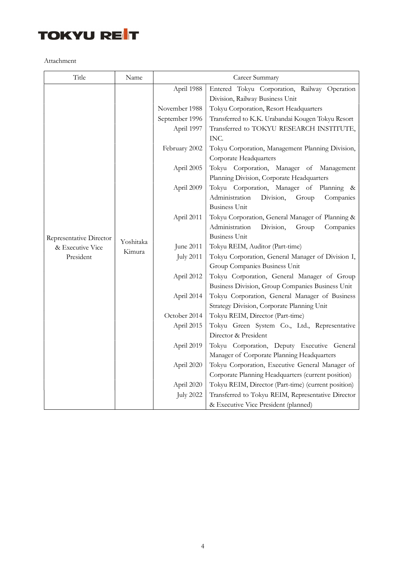

Attachment

| Title                   | Name                | Career Summary   |                                                                                       |
|-------------------------|---------------------|------------------|---------------------------------------------------------------------------------------|
|                         |                     | April 1988       | Entered Tokyu Corporation, Railway Operation                                          |
|                         |                     |                  | Division, Railway Business Unit                                                       |
|                         |                     | November 1988    | Tokyu Corporation, Resort Headquarters                                                |
|                         |                     | September 1996   | Transferred to K.K. Urabandai Kougen Tokyu Resort                                     |
|                         |                     | April 1997       | Transferred to TOKYU RESEARCH INSTITUTE,<br>INC.                                      |
|                         |                     | February 2002    | Tokyu Corporation, Management Planning Division,                                      |
|                         |                     |                  | Corporate Headquarters                                                                |
|                         | Yoshitaka<br>Kimura | April 2005       | Tokyu Corporation, Manager of Management<br>Planning Division, Corporate Headquarters |
|                         |                     | April 2009       | Tokyu Corporation, Manager of Planning &                                              |
|                         |                     |                  | Administration<br>Division,<br>Group<br>Companies                                     |
|                         |                     |                  | <b>Business Unit</b>                                                                  |
|                         |                     | April 2011       | Tokyu Corporation, General Manager of Planning &                                      |
|                         |                     |                  | Administration<br>Division,<br>Group<br>Companies                                     |
| Representative Director |                     |                  | <b>Business Unit</b>                                                                  |
| & Executive Vice        |                     | June 2011        | Tokyu REIM, Auditor (Part-time)                                                       |
| President               |                     | <b>July 2011</b> | Tokyu Corporation, General Manager of Division I,                                     |
|                         |                     |                  | Group Companies Business Unit                                                         |
|                         |                     | April 2012       | Tokyu Corporation, General Manager of Group                                           |
|                         |                     |                  | Business Division, Group Companies Business Unit                                      |
|                         |                     | April 2014       | Tokyu Corporation, General Manager of Business                                        |
|                         |                     |                  | Strategy Division, Corporate Planning Unit                                            |
|                         |                     | October 2014     | Tokyu REIM, Director (Part-time)                                                      |
|                         |                     | April 2015       | Tokyu Green System Co., Ltd., Representative                                          |
|                         |                     |                  | Director & President                                                                  |
|                         |                     | April 2019       | Tokyu Corporation, Deputy Executive General                                           |
|                         |                     |                  | Manager of Corporate Planning Headquarters                                            |
|                         |                     | April 2020       | Tokyu Corporation, Executive General Manager of                                       |
|                         |                     |                  | Corporate Planning Headquarters (current position)                                    |
|                         |                     | April 2020       | Tokyu REIM, Director (Part-time) (current position)                                   |
|                         |                     | <b>July 2022</b> | Transferred to Tokyu REIM, Representative Director                                    |
|                         |                     |                  | & Executive Vice President (planned)                                                  |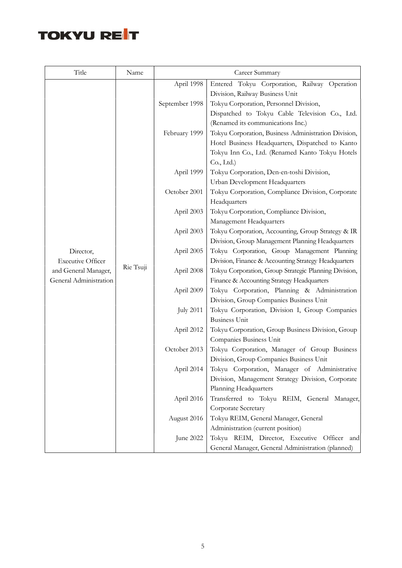

| Title                    | Name      | Career Summary   |                                                                                         |
|--------------------------|-----------|------------------|-----------------------------------------------------------------------------------------|
|                          |           | April 1998       | Entered Tokyu Corporation, Railway Operation                                            |
|                          |           |                  | Division, Railway Business Unit                                                         |
|                          |           | September 1998   | Tokyu Corporation, Personnel Division,                                                  |
|                          |           |                  | Dispatched to Tokyu Cable Television Co., Ltd.                                          |
|                          |           |                  | (Renamed its communications Inc.)                                                       |
|                          |           | February 1999    | Tokyu Corporation, Business Administration Division,                                    |
|                          |           |                  | Hotel Business Headquarters, Dispatched to Kanto                                        |
|                          |           |                  | Tokyu Inn Co., Ltd. (Renamed Kanto Tokyu Hotels                                         |
|                          |           |                  | Co, Ltd.)                                                                               |
|                          |           | April 1999       | Tokyu Corporation, Den-en-toshi Division,                                               |
|                          |           |                  | Urban Development Headquarters                                                          |
|                          | Rie Tsuji | October 2001     | Tokyu Corporation, Compliance Division, Corporate                                       |
|                          |           |                  | Headquarters                                                                            |
|                          |           | April 2003       | Tokyu Corporation, Compliance Division,                                                 |
|                          |           |                  | Management Headquarters                                                                 |
|                          |           | April 2003       | Tokyu Corporation, Accounting, Group Strategy & IR                                      |
|                          |           |                  | Division, Group Management Planning Headquarters                                        |
| Director,                |           | April 2005       | Tokyu Corporation, Group Management Planning                                            |
| <b>Executive Officer</b> |           |                  | Division, Finance & Accounting Strategy Headquarters                                    |
| and General Manager,     |           | April 2008       | Tokyu Corporation, Group Strategic Planning Division,                                   |
| General Administration   |           |                  | Finance & Accounting Strategy Headquarters                                              |
|                          |           | April 2009       | Tokyu Corporation, Planning & Administration<br>Division, Group Companies Business Unit |
|                          |           | <b>July 2011</b> | Tokyu Corporation, Division I, Group Companies                                          |
|                          |           |                  | <b>Business Unit</b>                                                                    |
|                          |           | April 2012       | Tokyu Corporation, Group Business Division, Group                                       |
|                          |           |                  | Companies Business Unit                                                                 |
|                          |           | October 2013     | Tokyu Corporation, Manager of Group Business                                            |
|                          |           |                  | Division, Group Companies Business Unit                                                 |
|                          |           | April 2014       | Tokyu Corporation, Manager of Administrative                                            |
|                          |           |                  | Division, Management Strategy Division, Corporate                                       |
|                          |           |                  | Planning Headquarters                                                                   |
|                          |           | April 2016       | Transferred to Tokyu REIM, General Manager,                                             |
|                          |           |                  | Corporate Secretary                                                                     |
|                          |           | August 2016      | Tokyu REIM, General Manager, General                                                    |
|                          |           |                  | Administration (current position)                                                       |
|                          |           | June 2022        | Tokyu REIM, Director, Executive Officer and                                             |
|                          |           |                  | General Manager, General Administration (planned)                                       |